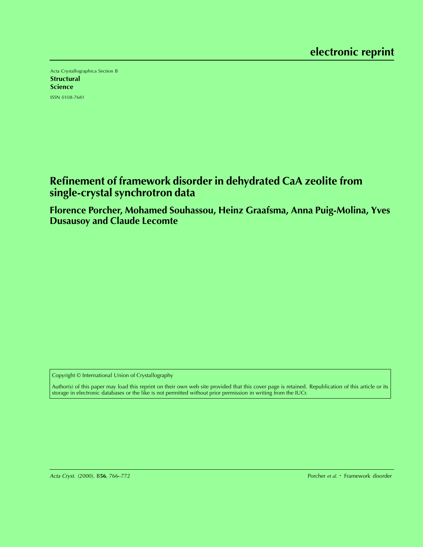Acta Crystallographica Section B **Structural** Science ISSN 0108-7681

# **Refinement of framework disorder in dehydrated CaA zeolite from single-crystal synchrotron data**

**Florence Porcher, Mohamed Souhassou, Heinz Graafsma, Anna Puig-Molina, Yves Dusausoy and Claude Lecomte**

Copyright © International Union of Crystallography

Author(s) of this paper may load this reprint on their own web site provided that this cover page is retained. Republication of this article or its storage in electronic databases or the like is not permitted without prior permission in writing from the IUCr.

Porcher et al. • Framework disorder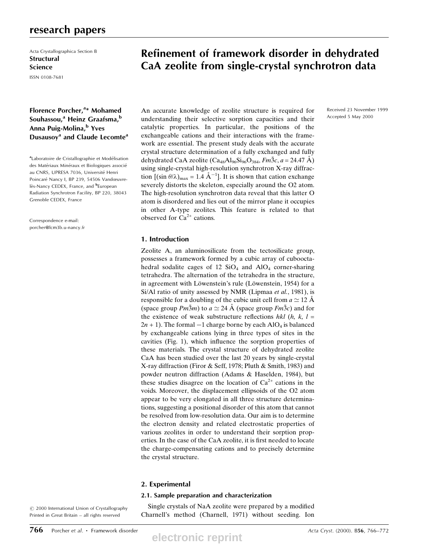# research papers

Acta Crystallographica Section B **Structural** Science

ISSN 0108-7681

# Florence Porcher,<sup>a\*</sup> Mohamed Souhassou,<sup>a</sup> Heinz Graafsma,<sup>b</sup> Anna Puig-Molina,<sup>b</sup> Yves Dusausoy<sup>a</sup> and Claude Lecomte<sup>a</sup>

<sup>a</sup>Laboratoire de Cristallographie et Modélisation des Matériaux Minéraux et Biologiques associé au CNRS, UPRESA 7036, Université Henri Poincaré Nancy I, BP 239, 54506 Vandœuvrelès-Nancy CEDEX, France, and <sup>b</sup>European Radiation Synchrotron Facility, BP 220, 38043 Grenoble CEDEX, France

Correspondence e-mail: porcher@lcm3b.u-nancy.fr

# Refinement of framework disorder in dehydrated CaA zeolite from single-crystal synchrotron data

An accurate knowledge of zeolite structure is required for understanding their selective sorption capacities and their catalytic properties. In particular, the positions of the exchangeable cations and their interactions with the framework are essential. The present study deals with the accurate crystal structure determination of a fully exchanged and fully dehydrated CaA zeolite (Ca<sub>48</sub>Al<sub>96</sub>Si<sub>96</sub>O<sub>384</sub>, Fm $\overline{3}c$ , a = 24.47 Å) using single-crystal high-resolution synchrotron X-ray diffraction  $[(\sin \theta/\lambda)_{\text{max}} = 1.4 \text{ Å}^{-1}]$ . It is shown that cation exchange severely distorts the skeleton, especially around the O2 atom. The high-resolution synchrotron data reveal that this latter O atom is disordered and lies out of the mirror plane it occupies in other A-type zeolites. This feature is related to that observed for  $Ca^{2+}$  cations.

## 1. Introduction

Zeolite A, an aluminosilicate from the tectosilicate group, possesses a framework formed by a cubic array of cubooctahedral sodalite cages of 12  $SiO<sub>4</sub>$  and  $AlO<sub>4</sub>$  corner-sharing tetrahedra. The alternation of the tetrahedra in the structure, in agreement with Löwenstein's rule (Löwenstein, 1954) for a Si/Al ratio of unity assessed by NMR (Lipmaa et al., 1981), is responsible for a doubling of the cubic unit cell from  $a \approx 12$  Å (space group  $Pm\overline{3}m$ ) to  $a \simeq 24$  Å (space group  $Fm\overline{3}c$ ) and for the existence of weak substructure reflections hkl  $(h, k, l =$  $2n + 1$ ). The formal  $-1$  charge borne by each AlO<sub>4</sub> is balanced by exchangeable cations lying in three types of sites in the cavities (Fig. 1), which influence the sorption properties of these materials. The crystal structure of dehydrated zeolite CaA has been studied over the last 20 years by single-crystal X-ray diffraction (Firor & Seff, 1978; Pluth & Smith, 1983) and powder neutron diffraction (Adams & Haselden, 1984), but these studies disagree on the location of  $Ca^{2+}$  cations in the voids. Moreover, the displacement ellipsoids of the O2 atom appear to be very elongated in all three structure determinations, suggesting a positional disorder of this atom that cannot be resolved from low-resolution data. Our aim is to determine the electron density and related electrostatic properties of various zeolites in order to understand their sorption properties. In the case of the CaA zeolite, it is first needed to locate the charge-compensating cations and to precisely determine the crystal structure.

## 2. Experimental

### 2.1. Sample preparation and characterization

Single crystals of NaA zeolite were prepared by a modified Charnell's method (Charnell, 1971) without seeding. Ion

 $© 2000 International Union of Crystallography$ Printed in Great Britain - all rights reserved

**electronic reprint**

Received 23 November 1999 Accepted 5 May 2000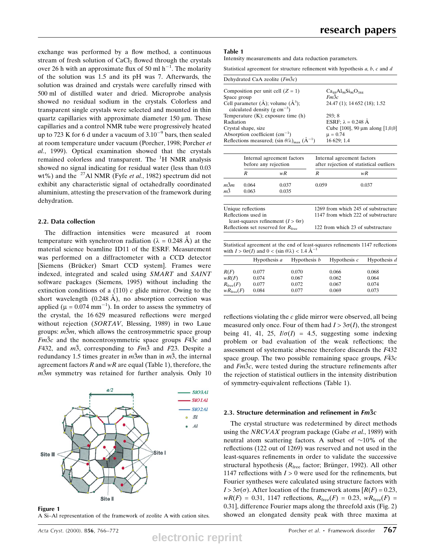exchange was performed by a flow method, a continuous stream of fresh solution of  $CaCl<sub>2</sub>$  flowed through the crystals over 26 h with an approximate flux of 50 ml  $h^{-1}$ . The molarity of the solution was 1.5 and its pH was 7. Afterwards, the solution was drained and crystals were carefully rinsed with 500 ml of distilled water and dried. Microprobe analysis showed no residual sodium in the crystals. Colorless and transparent single crystals were selected and mounted in thin quartz capillaries with approximate diameter  $150 \mu m$ . These capillaries and a control NMR tube were progressively heated up to 723 K for 6 d under a vacuum of  $3.10^{-9}$  bars, then sealed at room temperature under vacuum (Porcher, 1998; Porcher et al., 1999). Optical examination showed that the crystals remained colorless and transparent. The <sup>1</sup>H NMR analysis showed no signal indicating for residual water (less than 0.03 wt%) and the  $^{27}$ Al NMR (Fyfe *et al.*, 1982) spectrum did not exhibit any characteristic signal of octahedrally coordinated aluminium, attesting the preservation of the framework during dehydration.

## 2.2. Data collection

The diffraction intensities were measured at room temperature with synchrotron radiation ( $\lambda = 0.248 \text{ Å}$ ) at the material science beamline ID11 of the ESRF. Measurement was performed on a diffractometer with a CCD detector [Siemens (Brücker) Smart CCD system]. Frames were indexed, integrated and scaled using SMART and SAINT software packages (Siemens, 1995) without including the extinction conditions of a  $(110)$  c glide mirror. Owing to the short wavelength  $(0.248 \text{ Å})$ , no absorption correction was applied ( $\mu = 0.074$  mm<sup>-1</sup>). In order to assess the symmetry of the crystal, the 16 629 measured reflections were merged without rejection (SORTAV, Blessing, 1989) in two Laue groups:  $m\overline{3}m$ , which allows the centrosymmetric space group  $Fm\overline{3}c$  and the noncentrosymmetric space groups  $F4\overline{3}c$  and F432, and  $m\overline{3}$ , corresponding to  $Fm\overline{3}$  and F23. Despite a redundancy 1.5 times greater in  $m\overline{3}m$  than in  $m\overline{3}$ , the internal agreement factors  $R$  and  $wR$  are equal (Table 1), therefore, the  $m\overline{3}m$  symmetry was retained for further analysis. Only 10



Figure 1 A Si-Al representation of the framework of zeolite A with cation sites.

## Table 1

Intensity measurements and data reduction parameters.

Statistical agreement for structure refinement with hypothesis  $a$ ,  $b$ ,  $c$  and  $d$ 

| Dehydrated CaA zeolite $(Fm\bar{3}c)$                                                     |                                        |
|-------------------------------------------------------------------------------------------|----------------------------------------|
| Composition per unit cell $(Z = 1)$                                                       | $Ca_{48}Al_{96}Si_{96}O_{384}$         |
| Space group                                                                               | Fm3c                                   |
| Cell parameter $(\AA)$ ; volume $(\AA^3)$ ;<br>calculated density ( $g \text{ cm}^{-3}$ ) | 24.47 (1); 14 652 (18); 1.52           |
| Temperature $(K)$ ; exposure time $(h)$                                                   | 293:8                                  |
| Radiation                                                                                 | ESRF; $\lambda = 0.248$ $\AA$          |
| Crystal shape, size                                                                       | Cube $\{100\}$ , 90 µm along $[1,0,0]$ |
| Absorption coefficient $\text{(cm}^{-1})$                                                 | $\mu = 0.74$                           |
| Reflections measured; $(\sin \theta/\lambda)_{\text{max}}$ $(\text{\AA}^{-1})$            | 16 629; 1.4                            |

|                     | before any rejection | Internal agreement factors               | Internal agreement factors<br>after rejection of statistical outliers |                                     |  |  |
|---------------------|----------------------|------------------------------------------|-----------------------------------------------------------------------|-------------------------------------|--|--|
|                     | R                    | wR                                       | R                                                                     | wR                                  |  |  |
| $m\bar{3}m$         | 0.064                | 0.037                                    | 0.059                                                                 | 0.037                               |  |  |
| $m\bar{3}$          | 0.063                | 0.035                                    |                                                                       |                                     |  |  |
|                     |                      |                                          |                                                                       |                                     |  |  |
|                     | Unique reflections   |                                          |                                                                       | 1269 from which 245 of substructure |  |  |
| Reflections used in |                      |                                          | 1147 from which 222 of substructure                                   |                                     |  |  |
|                     |                      |                                          |                                                                       |                                     |  |  |
|                     |                      | least-squares refinement $(I > 0\sigma)$ |                                                                       |                                     |  |  |

| Statistical agreement at the end of least-squares refinements 1147 reflections  |  |
|---------------------------------------------------------------------------------|--|
| with $I > 0\sigma(I)$ and $0 < (\sin \theta/\lambda) < 1.4$ $\mathring{A}^{-1}$ |  |

|                       | Hypothesis a | Hypothesis $b$ | Hypothesis $c$ | Hypothesis $d$ |
|-----------------------|--------------|----------------|----------------|----------------|
| R(F)                  | 0.077        | 0.070          | 0.066          | 0.068          |
| wR(F)                 | 0.074        | 0.067          | 0.062          | 0.064          |
| $R_{\text{free}}(F)$  | 0.077        | 0.072          | 0.067          | 0.074          |
| $wR_{\text{free}}(F)$ | 0.084        | 0.077          | 0.069          | 0.073          |

reflections violating the  $c$  glide mirror were observed, all being measured only once. Four of them had  $I > 3\sigma(I)$ , the strongest being 41, 41, 25,  $I/\sigma(I) = 4.5$ , suggesting some indexing problem or bad evaluation of the weak reflections; the assessment of systematic absence therefore discards the F432 space group. The two possible remaining space groups,  $F\bar{4}3c$ and  $Fm\bar{3}c$ , were tested during the structure refinements after the rejection of statistical outliers in the intensity distribution of symmetry-equivalent reflections (Table 1).

## 2.3. Structure determination and refinement in  $Fm\bar{3}c$

The crystal structure was redetermined by direct methods using the NRCVAX program package (Gabe et al., 1989) with neutral atom scattering factors. A subset of  $\sim$ 10% of the reflections (122 out of 1269) was reserved and not used in the least-squares refinements in order to validate the successive structural hypothesis ( $R_{\text{free}}$  factor; Brünger, 1992). All other 1147 reflections with  $I > 0$  were used for the refinements, but Fourier syntheses were calculated using structure factors with  $I > 3\sigma(\sigma)$ . After location of the framework atoms  $[R(F) = 0.23]$ ,  $wR(F) = 0.31, 1147$  reflections,  $R_{\text{free}}(F) = 0.23, wR_{\text{free}}(F) =$ 0.31], difference Fourier maps along the threefold axis (Fig. 2) showed an elongated density peak with three maxima at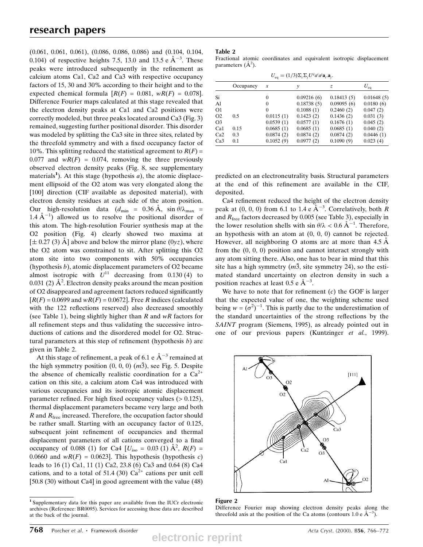(0.061, 0.061, 0.061), (0.086, 0.086, 0.086) and (0.104, 0.104, 0.104) of respective heights 7.5, 13.0 and 13.5 e  $\AA^{-3}$ . These peaks were introduced subsequently in the refinement as calcium atoms Ca1, Ca2 and Ca3 with respective occupancy factors of 15, 30 and 30% according to their height and to the expected chemical formula  $[R(F) = 0.081, wR(F) = 0.078]$ . Difference Fourier maps calculated at this stage revealed that the electron density peaks at Ca1 and Ca2 positions were correctly modeled, but three peaks located around Ca3 (Fig. 3) remained, suggesting further positional disorder. This disorder was modeled by splitting the Ca3 site in three sites, related by the threefold symmetry and with a fixed occupancy factor of 10%. This splitting reduced the statistical agreement to  $R(F)$  = 0.077 and  $wR(F) = 0.074$ , removing the three previously observed electron density peaks (Fig. 8, see supplementary materials<sup>1</sup>). At this stage (hypothesis  $a$ ), the atomic displacement ellipsoid of the O2 atom was very elongated along the [100] direction (CIF available as deposited material), with electron density residues at each side of the atom position. Our high-resolution data  $(d_{\text{min}} = 0.36 \text{ Å}, \sin \theta / \lambda_{\text{max}} =$ 1.4  $\AA^{-1}$ ) allowed us to resolve the positional disorder of this atom. The high-resolution Fourier synthesis map at the O2 position (Fig. 4) clearly showed two maxima at  $[\pm 0.27 (3)$  Å] above and below the mirror plane  $(0yz)$ , where the O2 atom was constrained to sit. After splitting this O2 atom site into two components with 50% occupancies (hypothesis  $b$ ), atomic displacement parameters of O2 became almost isotropic with  $U^{11}$  decreasing from 0.130 (4) to 0.031 (2)  $\AA^2$ . Electron density peaks around the mean position of O2 disappeared and agreement factors reduced significantly  $[R(F) = 0.0699$  and  $wR(F) = 0.0672$ . Free R indices (calculated with the 122 reflections reserved) also decreased smoothly (see Table 1), being slightly higher than  $R$  and  $wR$  factors for all refinement steps and thus validating the successive introductions of cations and the disordered model for O2. Structural parameters at this step of refinement (hypothesis  $b$ ) are given in Table 2.

At this stage of refinement, a peak of 6.1 e  $\AA^{-3}$  remained at the high symmetry position  $(0, 0, 0)$   $(m\bar{3})$ , see Fig. 5. Despite the absence of chemically realistic coordination for a  $Ca^{2+}$ cation on this site, a calcium atom Ca4 was introduced with various occupancies and its isotropic atomic displacement parameter refined. For high fixed occupancy values  $(> 0.125)$ , thermal displacement parameters became very large and both  $R$  and  $R_{\text{free}}$  increased. Therefore, the occupation factor should be rather small. Starting with an occupancy factor of 0.125, subsequent joint refinement of occupancies and thermal displacement parameters of all cations converged to a final occupancy of 0.088 (1) for Ca4 [ $U_{\text{iso}} = 0.03$  (1)  $\AA^2$ ,  $R(F) =$ 0.0660 and  $wR(F) = 0.0623$ . This hypothesis (hypothesis c) leads to 16 (1) Ca1, 11 (1) Ca2, 23.8 (6) Ca3 and 0.64 (8) Ca4 cations, and to a total of 51.4 (30)  $Ca^{2+}$  cations per unit cell [50.8 (30) without Ca4] in good agreement with the value (48)

### Table 2

Fractional atomic coordinates and equivalent isotropic displacement parameters  $(\AA^2)$ .

| $U_{\text{eq}} = (1/3) \Sigma_i \Sigma_j U^{ij} a^i a^j \mathbf{a}_i \mathbf{a}_j$ . |           |           |            |            |              |  |  |  |  |
|--------------------------------------------------------------------------------------|-----------|-----------|------------|------------|--------------|--|--|--|--|
|                                                                                      | Occupancy | x         | ν          | Z.         | $U_{\rm eq}$ |  |  |  |  |
| Si                                                                                   |           | 0         | 0.09216(6) | 0.18413(5) | 0.01648(5)   |  |  |  |  |
| Al                                                                                   |           | $\Omega$  | 0.18738(5) | 0.09095(6) | 0.0180(6)    |  |  |  |  |
| O1                                                                                   |           | $\Omega$  | 0.1088(1)  | 0.2460(2)  | 0.047(2)     |  |  |  |  |
| O <sub>2</sub>                                                                       | 0.5       | 0.0115(1) | 0.1423(2)  | 0.1436(2)  | 0.031(3)     |  |  |  |  |
| O3                                                                                   |           | 0.0539(1) | 0.0577(1)  | 0.1676(1)  | 0.045(2)     |  |  |  |  |
| Ca1                                                                                  | 0.15      | 0.0685(1) | 0.0685(1)  | 0.0685(1)  | 0.040(2)     |  |  |  |  |
| Ca2                                                                                  | 0.3       | 0.0874(2) | 0.0874(2)  | 0.0874(2)  | 0.0446(1)    |  |  |  |  |
| Ca3                                                                                  | 0.1       | 0.1052(9) | 0.0977(2)  | 0.1090(9)  | 0.023(4)     |  |  |  |  |

predicted on an electroneutrality basis. Structural parameters at the end of this refinement are available in the CIF, deposited.

Ca4 refinement reduced the height of the electron density peak at  $(0, 0, 0)$  from 6.1 to 1.4 e  $A^{-3}$ . Correlatively, both R and  $R_{\text{free}}$  factors decreased by 0.005 (see Table 3), especially in the lower resolution shells with  $\sin \theta / \lambda < 0.6$   $\rm A^{-1}$ . Therefore, an hypothesis with an atom at (0, 0, 0) cannot be rejected. However, all neighboring O atoms are at more than  $4.5 \text{ Å}$ from the (0, 0, 0) position and cannot interact strongly with any atom sitting there. Also, one has to bear in mind that this site has a high symmetry  $(m\bar{3})$ , site symmetry 24), so the estimated standard uncertainty on electron density in such a position reaches at least  $0.5 e \text{ Å}^{-3}$ .

We have to note that for refinement  $(c)$  the GOF is larger that the expected value of one, the weighting scheme used being  $w = (\sigma^2)^{-1}$ . This is partly due to the underestimation of the standard uncertainties of the strong reflections by the SAINT program (Siemens, 1995), as already pointed out in one of our previous papers (Kuntzinger et al., 1999).



#### Figure 2

Difference Fourier map showing electron density peaks along the threefold axis at the position of the Ca atoms (contours 1.0 e  $\AA^{-3}$ ).

<sup>1</sup> Supplementary data for this paper are available from the IUCr electronic archives (Reference: BR0095). Services for accessing these data are described at the back of the journal.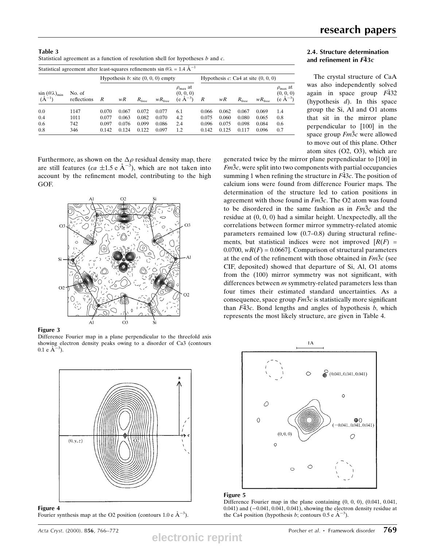| Table 3 |                                                                                                 |                                          |  |  |  |  |  |
|---------|-------------------------------------------------------------------------------------------------|------------------------------------------|--|--|--|--|--|
|         | Statistical agreement as a function of resolution shell for hypotheses b and c.                 |                                          |  |  |  |  |  |
|         | Statistical agreement after least-squares refinements sin $\theta/\lambda = 1.4 \text{ Å}^{-1}$ |                                          |  |  |  |  |  |
|         | Hypothesis $b$ : site $(0, 0, 0)$ empty                                                         | Hypothesis $c$ : Ca4 at site $(0, 0, 0)$ |  |  |  |  |  |
|         |                                                                                                 |                                          |  |  |  |  |  |

| $\sin (\theta/\lambda)_{\min}$<br>$(A^{-1})$ | No. of<br>reflections | $\overline{R}$ | wR    | $R_{\text{free}}$ | $wR_{\text{free}}$ | $\rho_{\text{max}}$ at<br>(0, 0, 0)<br>$(e \text{ Å}^{-3})$ | $\boldsymbol{R}$ | wR    | $R_{\text{free}}$ | $wR_{\text{free}}$ | $\rho_{\text{max}}$ at<br>(0, 0, 0)<br>$(e \AA^{-3})$ |
|----------------------------------------------|-----------------------|----------------|-------|-------------------|--------------------|-------------------------------------------------------------|------------------|-------|-------------------|--------------------|-------------------------------------------------------|
| 0.0                                          | 1147                  | 0.070          | 0.067 | 0.072             | 0.077              | 6.1                                                         | 0.066            | 0.062 | 0.067             | 0.069              | 1.4                                                   |
| 0.4                                          | 1011                  | 0.077          | 0.063 | 0.082             | 0.070              | 4.2                                                         | 0.075            | 0.060 | 0.080             | 0.065              | 0.8                                                   |
| 0.6                                          | 742                   | 0.097          | 0.076 | 0.099             | 0.086              | 2.4                                                         | 0.096            | 0.075 | 0.098             | 0.084              | 0.6                                                   |
| 0.8                                          | 346                   | 0.142          | 0.124 | 0.122             | 0.097              | 1.2                                                         | 0.142            | 0.125 | 0.117             | 0.096              | 0.7                                                   |

Furthermore, as shown on the  $\Delta \rho$  residual density map, there are still features (*ca*  $\pm 1.5$  e  $\AA^{-3}$ ), which are not taken into account by the refinement model, contributing to the high GOF.



# Figure 3

Difference Fourier map in a plane perpendicular to the threefold axis showing electron density peaks owing to a disorder of Ca3 (contours  $0.1 \text{ e } \text{\AA}^{-3}$ ).



Figure 4 Fourier synthesis map at the O2 position (contours 1.0 e  $\AA^{-3}$ ).

**electronic reprint**

# 2.4. Structure determination and refinement in  $F\bar{4}3c$

The crystal structure of CaA was also independently solved again in space group  $F\overline{4}32$ (hypothesis  $d$ ). In this space group the Si, Al and O1 atoms that sit in the mirror plane perpendicular to [100] in the space group  $Fm3c$  were allowed to move out of this plane. Other atom sites (O2, O3), which are

generated twice by the mirror plane perpendicular to [100] in  $Fm\bar{3}c$ , were split into two components with partial occupancies summing 1 when refining the structure in  $F\overline{4}3c$ . The position of calcium ions were found from difference Fourier maps. The determination of the structure led to cation positions in agreement with those found in  $Fm\overline{3}c$ . The O2 atom was found to be disordered in the same fashion as in  $Fm\overline{3}c$  and the residue at (0, 0, 0) had a similar height. Unexpectedly, all the correlations between former mirror symmetry-related atomic parameters remained low  $(0.7–0.8)$  during structural refinements, but statistical indices were not improved  $[R(F)]$ 0.0700,  $wR(F) = 0.0667$ . Comparison of structural parameters at the end of the refinement with those obtained in  $Fm\bar{3}c$  (see CIF, deposited) showed that departure of Si, Al, O1 atoms from the  $(100)$  mirror symmetry was not significant, with differences between m symmetry-related parameters less than four times their estimated standard uncertainties. As a consequence, space group  $Fm\bar{3}c$  is statistically more significant than  $F\overline{4}3c$ . Bond lengths and angles of hypothesis b, which represents the most likely structure, are given in Table 4.



### Figure 5

Difference Fourier map in the plane containing (0, 0, 0), (0.041, 0.041,  $(0.041)$  and  $(-0.041, 0.041, 0.041)$ , showing the electron density residue at the Ca4 position (hypothesis b; contours 0.5 e  $\AA^{-3}$ ).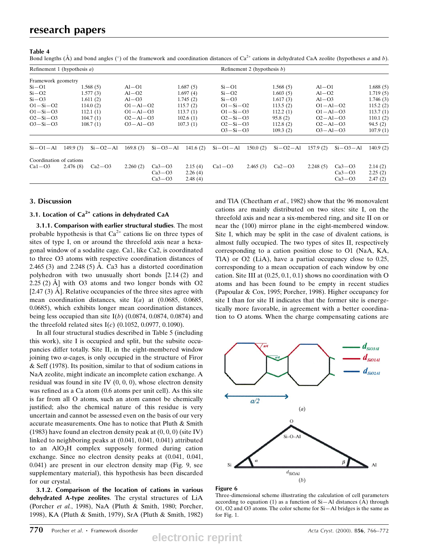# research papers

### Table 4

Bond lengths ( $\AA$ ) and bond angles ( $\degree$ ) of the framework and coordination distances of Ca<sup>2+</sup> cations in dehydrated CaA zeolite (hypotheses a and b).

| Refinement 1 (hypothesis $a$ ) |          |            |                |                |          |                        | Refinement 2 (hypothesis $b$ ) |            |                           |            |          |
|--------------------------------|----------|------------|----------------|----------------|----------|------------------------|--------------------------------|------------|---------------------------|------------|----------|
| Framework geometry             |          |            |                |                |          |                        |                                |            |                           |            |          |
| $Si-O1$                        |          | 1.568(5)   | $Al-O1$        |                | 1.687(5) | $Si-O1$                |                                | 1.568(5)   | $Al-O1$                   |            | 1.688(5) |
| $Si-O2$                        |          | 1.577(3)   | $Al-O2$        |                | 1.697(4) | $Si-O2$                |                                | 1.603(5)   | $Al-O2$                   |            | 1.719(5) |
| $Si-O3$                        |          | 1.611(2)   | $Al - O3$      |                | 1.745(2) | $Si-O3$                |                                | 1.617(3)   | $Al - O3$                 |            | 1.746(3) |
| $O1 - Si - O2$                 |          | 114.0(2)   | $O1 - Al - O2$ |                | 115.7(2) | $O1-Si-O2$             |                                | 113.5(2)   | $O1 - Al - O2$            |            | 115.2(2) |
| $O1 - Si - O3$                 |          | 112.1(1)   | $O1 - Al - O3$ |                | 113.7(1) |                        | $O1 - Si - O3$<br>$O2-Si-O3$   |            | $O1 - Al - O3$            |            | 113.7(1) |
| $O2-Si-O3$                     |          | 104.7(1)   | $O2 - Al - O3$ |                | 102.6(1) |                        |                                |            | 95.8(2)<br>$O2 - Al - O3$ |            | 110.1(2) |
| $O3-Si-O3$                     |          | 108.7(1)   |                | $O3 - Al - O3$ |          | 107.3(1)<br>$O2-Si-O3$ |                                | 112.8(2)   | $O2 - Al - O3$            |            | 94.5(2)  |
|                                |          |            |                |                |          | $O3-Si-O3$             |                                | 109.3(2)   | $O3 - Al - O3$            |            | 107.9(1) |
| $Si-O1-Al$                     | 149.9(3) | $Si-O2-Al$ | 169.8(3)       | $Si-O3-Al$     | 141.6(2) | $Si-O1-Al$             | 150.0(2)                       | $Si-O2-Al$ | 157.9(2)                  | $Si-O3-Al$ | 140.9(2) |
| Coordination of cations        |          |            |                |                |          |                        |                                |            |                           |            |          |
| $Ca1 - O3$                     | 2.476(8) | $Ca2-O3$   | 2.260(2)       | $Ca3-O3$       | 2.15(4)  | $Ca1 - O3$             | 2.465(3)                       | $Ca2-O3$   | 2.248(5)                  | $Ca3-O3$   | 2.14(2)  |
|                                |          |            |                | $Ca3-O3$       | 2.26(4)  |                        |                                |            |                           | $Ca3-O3$   | 2.25(2)  |
|                                |          |            |                | $Ca3-O3$       | 2.48(4)  |                        |                                |            |                           | $Ca3-O3$   | 2.47(2)  |

# 3. Discussion

# 3.1. Location of  $Ca^{2+}$  cations in dehydrated CaA

3.1.1. Comparison with earlier structural studies. The most probable hypothesis is that  $Ca^{2+}$  cations lie on three types of sites of type I, on or around the threefold axis near a hexagonal window of a sodalite cage. Ca1, like Ca2, is coordinated to three O3 atoms with respective coordination distances of 2.465 (3) and 2.248 (5) Å. Ca3 has a distorted coordination polyhedron with two unusually short bonds [2.14 (2) and  $2.25$  (2)  $\AA$ ] with O3 atoms and two longer bonds with O2 [2.47  $(3)$  Å]. Relative occupancies of the three sites agree with mean coordination distances, site  $I(a)$  at (0.0685, 0.0685, 0.0685), which exhibits longer mean coordination distances, being less occupied than site  $I(b)$  (0.0874, 0.0874, 0.0874) and the threefold related sites  $I(c)$  (0.1052, 0.0977, 0.1090).

In all four structural studies described in Table 5 (including this work), site I is occupied and split, but the subsite occupancies differ totally. Site II, in the eight-membered window joining two  $\alpha$ -cages, is only occupied in the structure of Firor & Seff (1978). Its position, similar to that of sodium cations in NaA zeolite, might indicate an incomplete cation exchange. A residual was found in site IV  $(0, 0, 0)$ , whose electron density was refined as a Ca atom (0.6 atoms per unit cell). As this site is far from all O atoms, such an atom cannot be chemically justified; also the chemical nature of this residue is very uncertain and cannot be assessed even on the basis of our very accurate measurements. One has to notice that Pluth & Smith (1983) have found an electron density peak at  $(0, 0, 0)$  (site IV) linked to neighboring peaks at (0.041, 0.041, 0.041) attributed to an  $AIO<sub>2</sub>H$  complex supposely formed during cation exchange. Since no electron density peaks at (0.041, 0.041, 0.041) are present in our electron density map (Fig. 9, see supplementary material), this hypothesis has been discarded for our crystal.

3.1.2. Comparison of the location of cations in various dehydrated A-type zeolites. The crystal structures of LiA (Porcher et al., 1998), NaA (Pluth & Smith, 1980; Porcher, 1998), KA (Pluth & Smith, 1979), SrA (Pluth & Smith, 1982)

and TlA (Cheetham et al., 1982) show that the 96 monovalent cations are mainly distributed on two sites: site I, on the threefold axis and near a six-membered ring, and site II on or near the (100) mirror plane in the eight-membered window. Site I, which may be split in the case of divalent cations, is almost fully occupied. The two types of sites II, respectively corresponding to a cation position close to O1 (NaA, KA, TlA) or O2 (LiA), have a partial occupancy close to 0.25, corresponding to a mean occupation of each window by one cation. Site III at (0.25, 0.1, 0.1) shows no coordination with O atoms and has been found to be empty in recent studies (Papoular & Cox, 1995; Porcher, 1998). Higher occupancy for site I than for site II indicates that the former site is energetically more favorable, in agreement with a better coordination to O atoms. When the charge compensating cations are



### Figure 6

Three-dimensional scheme illustrating the calculation of cell parameters according to equation (1) as a function of  $Si-Al$  distances ( $\AA$ ) through O1, O2 and O3 atoms. The color scheme for  $Si-Al$  bridges is the same as for Fig. 1.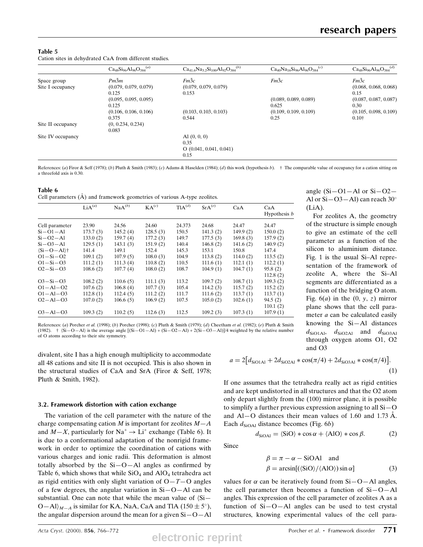angle  $(Si-O1–Al \text{ or } Si-O2–$ Al or  $Si-O3-Al$ ) can reach 30°

For zeolites A, the geometry of the structure is simple enough to give an estimate of the cell parameter as a function of the silicon to aluminium distance. Fig. 1 is the usual Si-Al representation of the framework of zeolite A, where the Si-Al segments are differentiated as a function of the bridging O atom. Fig.  $6(a)$  in the  $(0, y, z)$  mirror plane shows that the cell parameter a can be calculated easily knowing the  $Si–Al$  distances  $d_{\text{SiO1Al}}$ ,  $d_{\text{SiO2Al}}$  and  $d_{\text{SiO3Al}}$ through oxygen atoms O1, O2

### Table 5 Cation sites in dehydrated CaA from different studies.

|                   | $Ca_{48}Si_{96}Al_{96}O_{384}^{(a)}$ | $Ca_{41.6}Na_{3.2}Si_{100}Al_{92}O_{384}^{(b)}$ | $Ca_{40}Na_{16}Si_{96}Al_{96}O_{384}^{(c)}$ | $Ca_{48}Si_{96}Al_{96}O_{384}^{(d)}$ |
|-------------------|--------------------------------------|-------------------------------------------------|---------------------------------------------|--------------------------------------|
| Space group       | $Pm\bar{3}m$                         | $Fm\bar{3}c$                                    | $Fm\bar{3}c$                                | $Fm\bar{3}c$                         |
| Site I occupancy  | (0.079, 0.079, 0.079)                | (0.079, 0.079, 0.079)                           |                                             | (0.068, 0.068, 0.068)                |
|                   | 0.125                                | 0.153                                           |                                             | 0.15                                 |
|                   | (0.095, 0.095, 0.095)                |                                                 | (0.089, 0.089, 0.089)                       | (0.087, 0.087, 0.087)                |
|                   | 0.125                                |                                                 | 0.625                                       | 0.30                                 |
|                   | (0.106, 0.106, 0.106)                | (0.103, 0.103, 0.103)                           | (0.109, 0.109, 0.109)                       | (0.105, 0.098, 0.109)                |
|                   | 0.375                                | 0.544                                           | 0.25                                        | $0.10\dagger$                        |
| Site II occupancy | (0, 0.234, 0.234)                    |                                                 |                                             |                                      |
|                   | 0.083                                |                                                 |                                             |                                      |
| Site IV occupancy |                                      | Al $(0, 0, 0)$                                  |                                             |                                      |
|                   |                                      | 0.35                                            |                                             |                                      |
|                   |                                      | O(0.041, 0.041, 0.041)                          |                                             |                                      |
|                   |                                      | 0.15                                            |                                             |                                      |

References: (a) Firor & Seff (1978); (b) Pluth & Smith (1983); (c) Adams & Haselden (1984); (d) this work (hypothesis b).  $\dagger$  The comparable value of occupancy for a cation sitting on a threefold axis is 0.30.

| Table 6                                                                    |
|----------------------------------------------------------------------------|
| Cell parameters $(A)$ and framework geometries of various A-type zeolites. |

|                | LiA <sup>(a)</sup> | $\text{NaA}^{(b)}$ | KA <sup>(c)</sup> | TIA <sup>(d)</sup> | $SrA^{(e)}$ | CaA      | CaA<br>Hypothesis $b$ |
|----------------|--------------------|--------------------|-------------------|--------------------|-------------|----------|-----------------------|
| Cell parameter | 23.90              | 24.56              | 24.60             | 24.373             | 24.68       | 24.47    | 24.47                 |
| $Si-O1-A1$     | 173.7(3)           | 145.2(4)           | 128.5(3)          | 150.5              | 141.3(2)    | 149.9(2) | 150.0(2)              |
| $Si-O2-Al$     | 133.0(2)           | 159.7(4)           | 177.2(3)          | 149.7              | 177.5(3)    | 169.8(3) | 157.9(2)              |
| $Si-O3-Al$     | 129.5(1)           | 143.1(3)           | 151.9(2)          | 140.4              | 146.8(2)    | 141.6(2) | 140.9(2)              |
| $(Si-O-Al)$ †  | 141.4              | 149.1              | 152.4             | 145.3              | 153.1       | 150.8    | 147.4                 |
| $O1 - Si - O2$ | 109.1(2)           | 107.9(5)           | 108.0(3)          | 104.9              | 113.8(2)    | 114.0(2) | 113.5(2)              |
| $O1 - Si - O3$ | 111.2(1)           | 111.3(4)           | 110.8(2)          | 110.5              | 111.6(1)    | 112.1(1) | 112.2(1)              |
| $O2-Si-O3$     | 108.6(2)           | 107.7(4)           | 108.0(2)          | 108.7              | 104.9(1)    | 104.7(1) | 95.8(2)               |
|                |                    |                    |                   |                    |             |          | 112.8(2)              |
| $O3-Si-O3$     | 108.2(2)           | 110.6(5)           | 111.1(3)          | 113.2              | 109.7(2)    | 108.7(1) | 109.3(2)              |
| $O1 - Al - O2$ | 107.6(2)           | 106.8(4)           | 107.7(3)          | 105.4              | 114.2(3)    | 115.7(2) | 115.2(2)              |
| $O1 - Al - O3$ | 112.8(1)           | 112.4(5)           | 111.2(2)          | 111.7              | 111.6(2)    | 113.7(1) | 113.7(1)              |
| $O2 - Al - O3$ | 107.0(2)           | 106.6(5)           | 106.9(2)          | 107.5              | 105.0(2)    | 102.6(1) | 94.5(2)               |
|                |                    |                    |                   |                    |             |          | 110.1(2)              |
| $O3 - Al - O3$ | 109.3(2)           | 110.2(5)           | 112.6(3)          | 112.5              | 109.2(3)    | 107.3(1) | 107.9(1)              |

References: (a) Porcher et al. (1998); (b) Porcher (1998); (c) Pluth & Smith (1979); (d) Cheetham et al. (1982); (e) Pluth & Smith (1982).  $\dagger$  (Si $-O-A$ l) is the average angle  $[(Si-O1-Al) + (Si-O2-Al) + 2(Si-O3-Al)]/4$  weighted by the relative number of O atoms according to their site symmetry.

divalent, site I has a high enough multiplicity to accommodate all 48 cations and site II is not occupied. This is also shown in the structural studies of CaA and SrA (Firor & Seff, 1978; Pluth & Smith, 1982).

## 3.2. Framework distortion with cation exchange

The variation of the cell parameter with the nature of the charge compensating cation  $M$  is important for zeolites  $M-A$ and  $M-X$ , particularly for  $Na^+ \rightarrow Li^+$  exchange (Table 6). It is due to a conformational adaptation of the nonrigid framework in order to optimize the coordination of cations with various charges and ionic radii. This deformation is almost totally absorbed by the  $Si-O-Al$  angles as confirmed by Table 6, which shows that while  $SiO<sub>4</sub>$  and  $AlO<sub>4</sub>$  tetrahedra act as rigid entities with only slight variation of  $O-T-O$  angles of a few degrees, the angular variation in  $Si-O-Al$  can be substantial. One can note that while the mean value of  $\langle Si-\rangle$  $\langle O-Al\rangle_{M-A}$  is similar for KA, NaA, CaA and TlA (150  $\pm$  5°), the angular dispersion around the mean for a given  $Si-O-Al$ 

$$
a = 2[d_{\text{SiO1Al}} + 2d_{\text{SiO2Al}} * \cos(\pi/4) + 2d_{\text{SiO3Al}} * \cos(\pi/4)].
$$
\n(1)

and O3

 $(LiA)$ .

If one assumes that the tetrahedra really act as rigid entities and are kept undistorted in all structures and that the O2 atom only depart slightly from the (100) mirror plane, it is possible to simplify a further previous expression assigning to all  $Si-O$ and  $Al-O$  distances their mean values of 1.60 and 1.73  $\AA$ . Each  $d_{\text{SiOAl}}$  distance becomes (Fig. 6b)

Since

$$
\beta = \pi - \alpha - \text{SiOA1} \text{ and}
$$
  

$$
\beta = \arcsin[(\langle \text{SiO} \rangle / \langle \text{AlO} \rangle) \sin \alpha]
$$
 (3)

 $d_{\text{SiOAl}} = \langle \text{SiO} \rangle * \cos \alpha + \langle \text{AlO} \rangle * \cos \beta.$  (2)

values for  $\alpha$  can be iteratively found from Si $-O-$ Al angles, the cell parameter then becomes a function of  $Si-O-Al$ angles. This expression of the cell parameter of zeolites A as a function of  $Si-O-Al$  angles can be used to test crystal structures, knowing experimental values of the cell para-